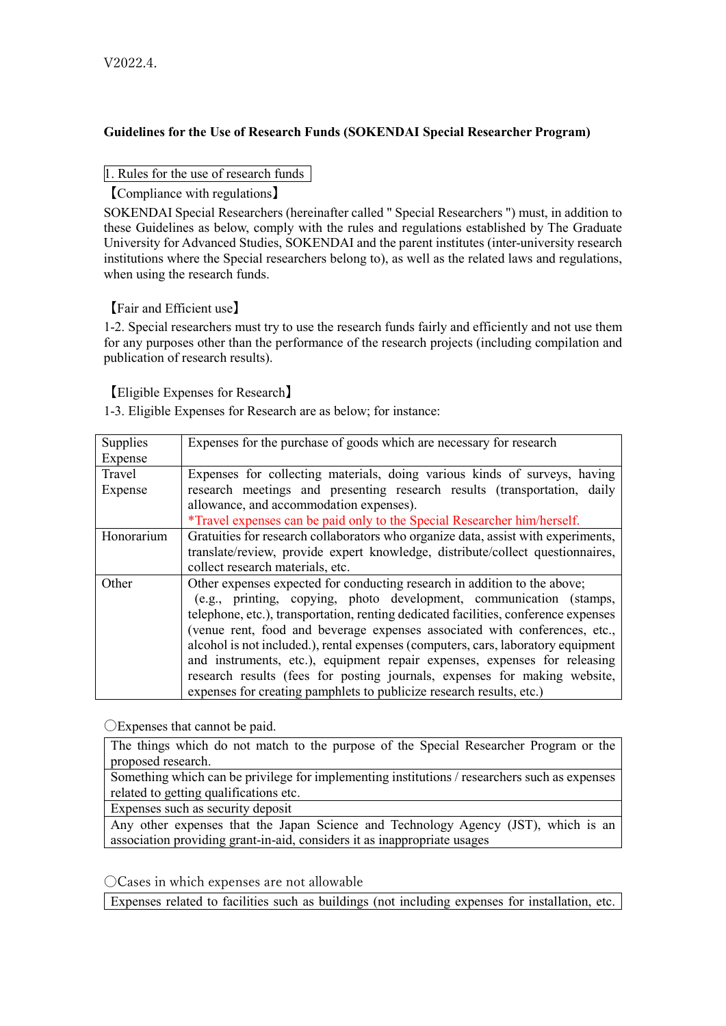# **Guidelines for the Use of Research Funds (SOKENDAI Special Researcher Program)**

1. Rules for the use of research funds

【Compliance with regulations】

SOKENDAI Special Researchers (hereinafter called " Special Researchers ") must, in addition to these Guidelines as below, comply with the rules and regulations established by The Graduate University for Advanced Studies, SOKENDAI and the parent institutes (inter-university research institutions where the Special researchers belong to), as well as the related laws and regulations, when using the research funds.

【Fair and Efficient use】

1-2. Special researchers must try to use the research funds fairly and efficiently and not use them for any purposes other than the performance of the research projects (including compilation and publication of research results).

【Eligible Expenses for Research】

1-3. Eligible Expenses for Research are as below; for instance:

| <b>Supplies</b> | Expenses for the purchase of goods which are necessary for research                 |
|-----------------|-------------------------------------------------------------------------------------|
| Expense         |                                                                                     |
| Travel          | Expenses for collecting materials, doing various kinds of surveys, having           |
| Expense         | research meetings and presenting research results (transportation, daily            |
|                 | allowance, and accommodation expenses).                                             |
|                 | *Travel expenses can be paid only to the Special Researcher him/herself.            |
| Honorarium      | Gratuities for research collaborators who organize data, assist with experiments,   |
|                 | translate/review, provide expert knowledge, distribute/collect questionnaires,      |
|                 | collect research materials, etc.                                                    |
| Other           | Other expenses expected for conducting research in addition to the above;           |
|                 | (e.g., printing, copying, photo development, communication (stamps,                 |
|                 | telephone, etc.), transportation, renting dedicated facilities, conference expenses |
|                 | (venue rent, food and beverage expenses associated with conferences, etc.,          |
|                 | alcohol is not included.), rental expenses (computers, cars, laboratory equipment   |
|                 | and instruments, etc.), equipment repair expenses, expenses for releasing           |
|                 | research results (fees for posting journals, expenses for making website,           |
|                 | expenses for creating pamphlets to publicize research results, etc.)                |

〇Expenses that cannot be paid.

The things which do not match to the purpose of the Special Researcher Program or the proposed research.

Something which can be [privilege](https://eow.alc.co.jp/search?q=privilege&ref=awlj) for implementing institutions / researchers such as expenses related to getting qualifications etc.

Expenses such as security deposit

Any other expenses that the Japan Science and Technology Agency (JST), which is an association providing grant-in-aid, considers it as inappropriate usages

〇Cases in which expenses are not allowable

Expenses related to facilities such as buildings (not including expenses for installation, etc.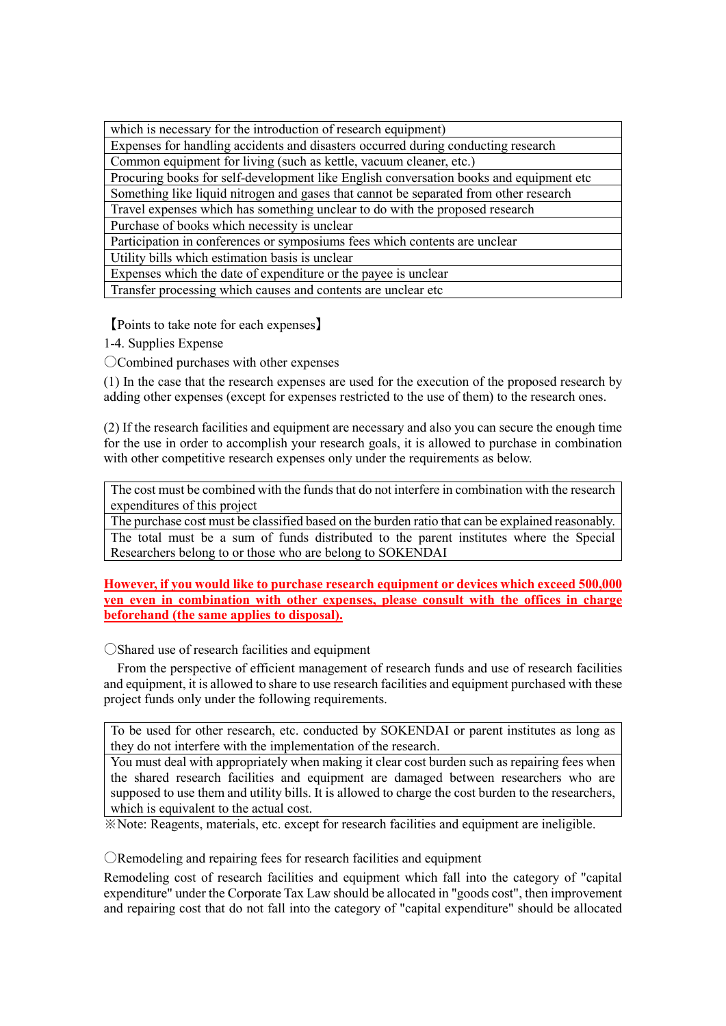| which is necessary for the introduction of research equipment)                          |  |  |
|-----------------------------------------------------------------------------------------|--|--|
| Expenses for handling accidents and disasters occurred during conducting research       |  |  |
| Common equipment for living (such as kettle, vacuum cleaner, etc.)                      |  |  |
| Procuring books for self-development like English conversation books and equipment etc. |  |  |
| Something like liquid nitrogen and gases that cannot be separated from other research   |  |  |
| Travel expenses which has something unclear to do with the proposed research            |  |  |
| Purchase of books which necessity is unclear                                            |  |  |
| Participation in conferences or symposiums fees which contents are unclear              |  |  |
| Utility bills which estimation basis is unclear                                         |  |  |
| Expenses which the date of expenditure or the payee is unclear                          |  |  |
| Transfer processing which causes and contents are unclear etc                           |  |  |

【Points to take note for each expenses】

1-4. Supplies Expense

〇Combined purchases with other expenses

(1) In the case that the research expenses are used for the execution of the proposed research by adding other expenses (except for expenses restricted to the use of them) to the research ones.

(2) If the research facilities and equipment are necessary and also you can secure the enough time for the use in order to accomplish your research goals, it is allowed to purchase in combination with other competitive research expenses only under the requirements as below.

The cost must be combined with the funds that do not interfere in combination with the research expenditures of this project

The purchase cost must be classified based on the burden ratio that can be explained reasonably. The total must be a sum of funds distributed to the parent institutes where the Special Researchers belong to or those who are belong to SOKENDAI

**However, if you would like to purchase research equipment or devices which exceed 500,000 yen even in combination with other expenses, please consult with the offices in charge beforehand (the same applies to disposal).**

〇Shared use of research facilities and equipment

From the perspective of efficient management of research funds and use of research facilities and equipment, it is allowed to share to use research facilities and equipment purchased with these project funds only under the following requirements.

To be used for other research, etc. conducted by SOKENDAI or parent institutes as long as they do not interfere with the implementation of the research.

You must deal with appropriately when making it clear cost burden such as repairing fees when the shared research facilities and equipment are damaged between researchers who are supposed to use them and utility bills. It is allowed to charge the cost burden to the researchers, which is equivalent to the actual cost.

※Note: Reagents, materials, etc. except for research facilities and equipment are ineligible.

〇Remodeling and repairing fees for research facilities and equipment

Remodeling cost of research facilities and equipment which fall into the category of "capital expenditure" under the Corporate Tax Law should be allocated in "goods cost", then improvement and repairing cost that do not fall into the category of "capital expenditure" should be allocated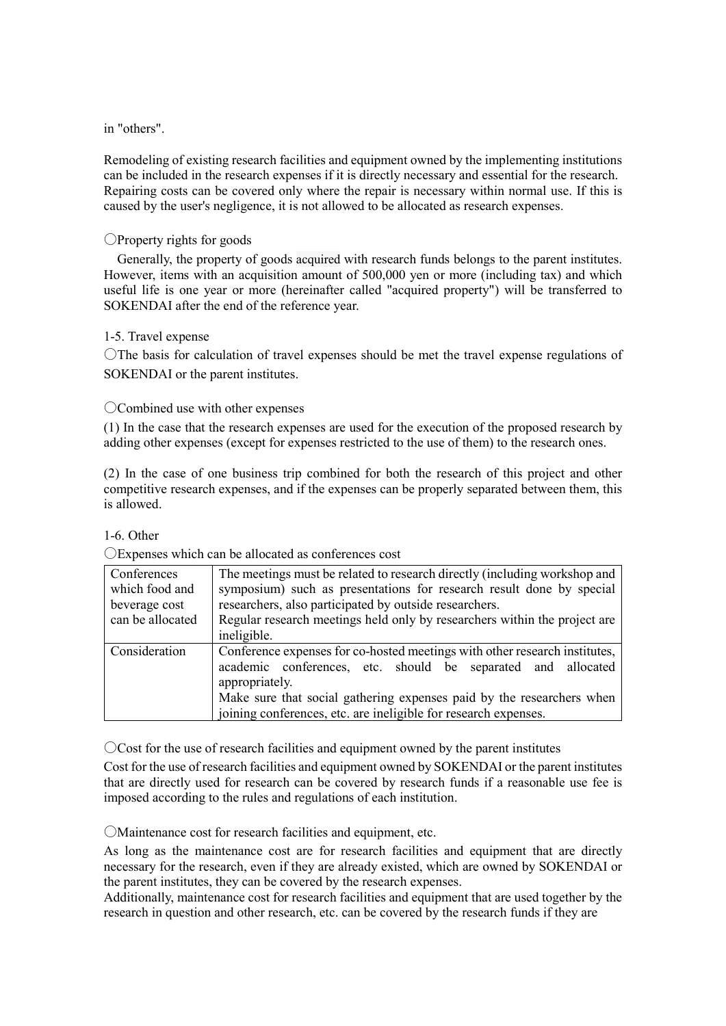#### in "others".

Remodeling of existing research facilities and equipment owned by the implementing institutions can be included in the research expenses if it is directly necessary and essential for the research. Repairing costs can be covered only where the repair is necessary within normal use. If this is caused by the user's negligence, it is not allowed to be allocated as research expenses.

### 〇Property rights for goods

Generally, the property of goods acquired with research funds belongs to the parent institutes. However, items with an acquisition amount of 500,000 yen or more (including tax) and which useful life is one year or more (hereinafter called "acquired property") will be transferred to SOKENDAI after the end of the reference year.

#### 1-5. Travel expense

〇The basis for calculation of travel expenses should be met the travel expense regulations of SOKENDAI or the parent institutes.

## 〇Combined use with other expenses

(1) In the case that the research expenses are used for the execution of the proposed research by adding other expenses (except for expenses restricted to the use of them) to the research ones.

(2) In the case of one business trip combined for both the research of this project and other competitive research expenses, and if the expenses can be properly separated between them, this is allowed.

#### 1-6. Other

| Conferences<br>which food and<br>beverage cost<br>can be allocated | The meetings must be related to research directly (including workshop and<br>symposium) such as presentations for research result done by special<br>researchers, also participated by outside researchers.<br>Regular research meetings held only by researchers within the project are<br>ineligible.  |
|--------------------------------------------------------------------|----------------------------------------------------------------------------------------------------------------------------------------------------------------------------------------------------------------------------------------------------------------------------------------------------------|
| Consideration                                                      | Conference expenses for co-hosted meetings with other research institutes,<br>academic conferences, etc. should be separated and allocated<br>appropriately.<br>Make sure that social gathering expenses paid by the researchers when<br>joining conferences, etc. are ineligible for research expenses. |

#### 〇Expenses which can be allocated as conferences cost

〇Cost for the use of research facilities and equipment owned by the parent institutes

Cost for the use of research facilities and equipment owned by SOKENDAI or the parent institutes that are directly used for research can be covered by research funds if a reasonable use fee is imposed according to the rules and regulations of each institution.

〇Maintenance cost for research facilities and equipment, etc.

As long as the maintenance cost are for research facilities and equipment that are directly necessary for the research, even if they are already existed, which are owned by SOKENDAI or the parent institutes, they can be covered by the research expenses.

Additionally, maintenance cost for research facilities and equipment that are used together by the research in question and other research, etc. can be covered by the research funds if they are